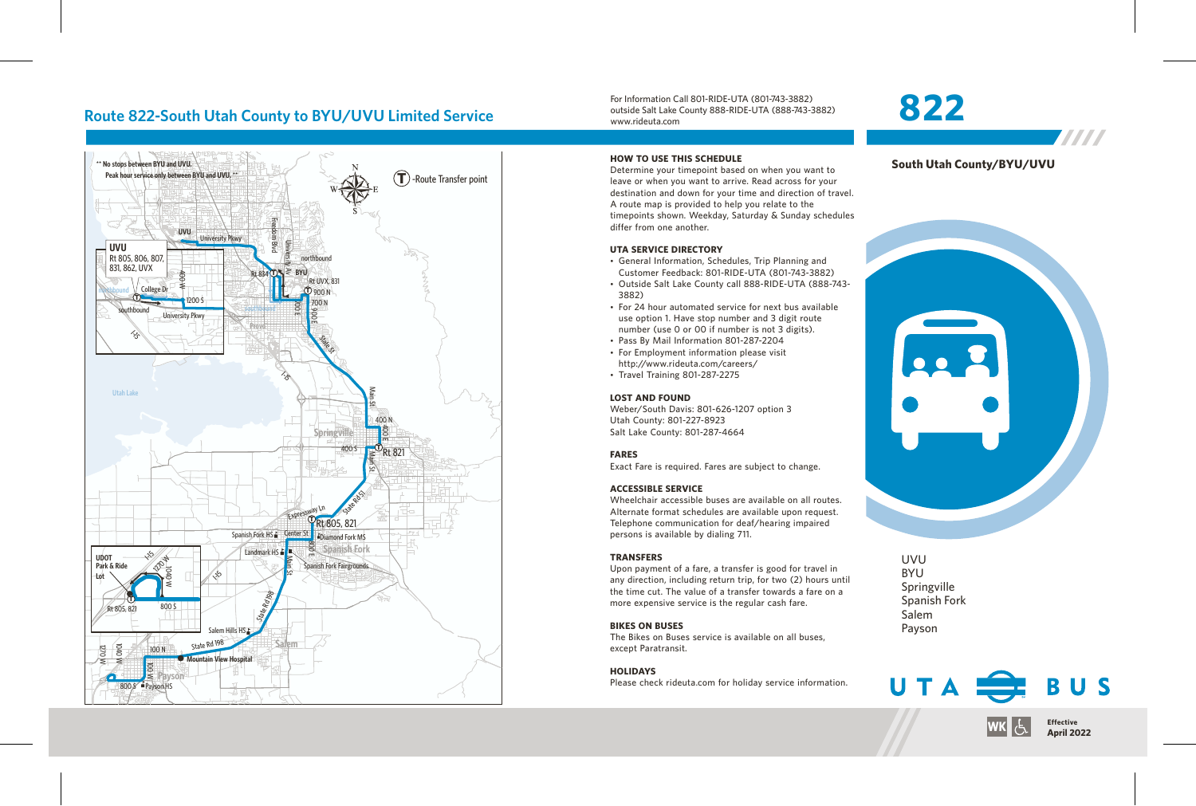# **Route 822-South Utah County to BYU/UVU Limited Service**



For Information Call 801-RIDE-UTA (801-743-3882) outside Salt Lake County 888-RIDE-UTA (888-743-3882) www.rideuta.com

# **822**



7777

# 228

UVU BYU Springville Spanish Fork Salem Payson



### **HOW TO USE THIS SCHEDULE** Determine your timepoint based on when you want to

leave or when you want to arrive. Read across for your destination and down for your time and direction of travel. A route map is provided to help you relate to the timepoints shown. Weekday, Saturday & Sunday schedules differ from one another.

### **UTA SERVICE DIRECTORY**

- General Information, Schedules, Trip Planning and Customer Feedback: 801-RIDE-UTA (801-743-3882)
- Outside Salt Lake County call 888-RIDE-UTA (888-743-3882)
- For 24 hour automated service for next bus available use option 1. Have stop number and 3 digit route number (use 0 or 00 if number is not 3 digits).
- Pass By Mail Information 801-287-2204
- For Employment information please visit http://www.rideuta.com/careers/
- $\cdot$  Travel Training 801-287-2275

### **LOST AND FOUND**

Weber/South Davis: 801-626-1207 option 3 Utah County: 801-227-8923 Salt Lake County: 801-287-4664

### **FARES**

Exact Fare is required. Fares are subject to change.

### **ACCESSIBLE SERVICE**

Wheelchair accessible buses are available on all routes. Alternate format schedules are available upon request. Telephone communication for deaf/hearing impaired persons is available by dialing 711.

### **TRANSFERS**

Upon payment of a fare, a transfer is good for travel in any direction, including return trip, for two (2) hours until the time cut. The value of a transfer towards a fare on a more expensive service is the regular cash fare.

### **BIKES ON BUSES**

The Bikes on Buses service is available on all buses, except Paratransit.

### **HOLIDAYS**

Please check rideuta.com for holiday service information.